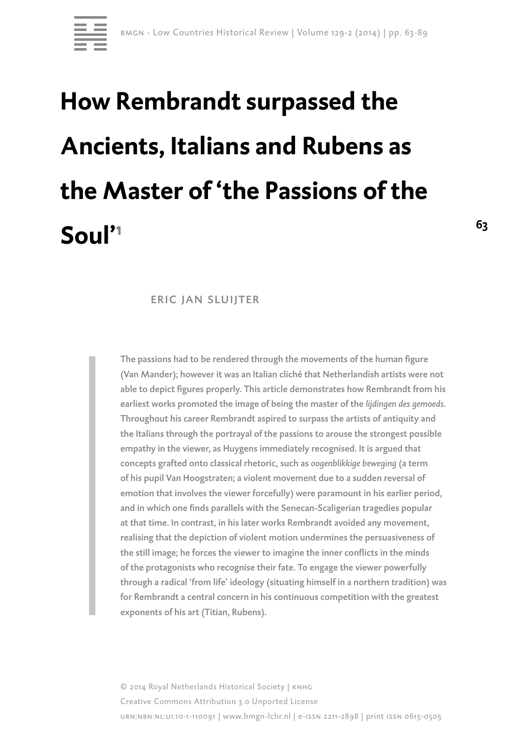

# **How Rembrandt surpassed the Ancients, Italians and Rubens as the Master of 'the Passions of the Soul'1**

# eric jan sluijter

The passions had to be rendered through the movements of the human figure (Van Mander); however it was an Italian cliché that Netherlandish artists were not able to depict figures properly. This article demonstrates how Rembrandt from his earliest works promoted the image of being the master of the *lijdingen des gemoeds.*  Throughout his career Rembrandt aspired to surpass the artists of antiquity and the Italians through the portrayal of the passions to arouse the strongest possible empathy in the viewer, as Huygens immediately recognised. It is argued that concepts grafted onto classical rhetoric, such as *oogenblikkige beweging* (a term of his pupil Van Hoogstraten; a violent movement due to a sudden reversal of emotion that involves the viewer forcefully) were paramount in his earlier period, and in which one finds parallels with the Senecan-Scaligerian tragedies popular at that time. In contrast, in his later works Rembrandt avoided any movement, realising that the depiction of violent motion undermines the persuasiveness of the still image; he forces the viewer to imagine the inner conflicts in the minds of the protagonists who recognise their fate. To engage the viewer powerfully through a radical 'from life' ideology (situating himself in a northern tradition) was for Rembrandt a central concern in his continuous competition with the greatest exponents of his art (Titian, Rubens).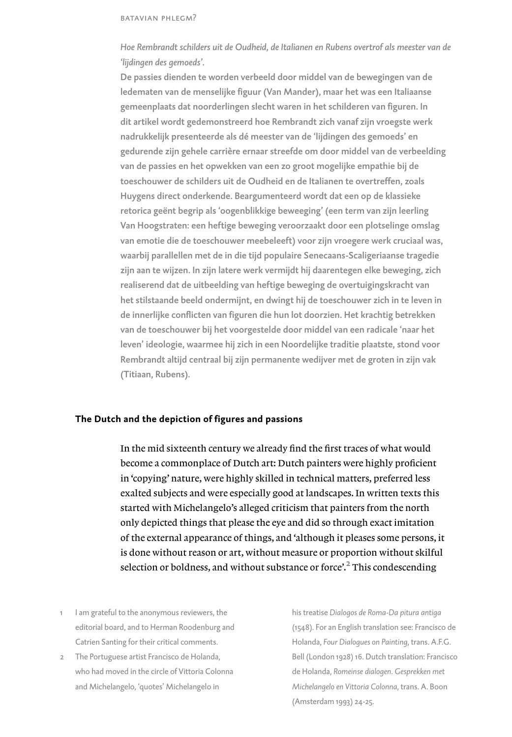*Hoe Rembrandt schilders uit de Oudheid, de Italianen en Rubens overtrof als meester van de 'lijdingen des gemoeds'.* 

De passies dienden te worden verbeeld door middel van de bewegingen van de ledematen van de menselijke figuur (Van Mander), maar het was een Italiaanse gemeenplaats dat noorderlingen slecht waren in het schilderen van figuren. In dit artikel wordt gedemonstreerd hoe Rembrandt zich vanaf zijn vroegste werk nadrukkelijk presenteerde als dé meester van de 'lijdingen des gemoeds' en gedurende zijn gehele carrière ernaar streefde om door middel van de verbeelding van de passies en het opwekken van een zo groot mogelijke empathie bij de toeschouwer de schilders uit de Oudheid en de Italianen te overtreffen, zoals Huygens direct onderkende. Beargumenteerd wordt dat een op de klassieke retorica geënt begrip als 'oogenblikkige beweeging' (een term van zijn leerling Van Hoogstraten: een heftige beweging veroorzaakt door een plotselinge omslag van emotie die de toeschouwer meebeleeft) voor zijn vroegere werk cruciaal was, waarbij parallellen met de in die tijd populaire Senecaans-Scaligeriaanse tragedie zijn aan te wijzen. In zijn latere werk vermijdt hij daarentegen elke beweging, zich realiserend dat de uitbeelding van heftige beweging de overtuigingskracht van het stilstaande beeld ondermijnt, en dwingt hij de toeschouwer zich in te leven in de innerlijke conflicten van figuren die hun lot doorzien. Het krachtig betrekken van de toeschouwer bij het voorgestelde door middel van een radicale 'naar het leven' ideologie, waarmee hij zich in een Noordelijke traditie plaatste, stond voor Rembrandt altijd centraal bij zijn permanente wedijver met de groten in zijn vak (Titiaan, Rubens).

## **The Dutch and the depiction of figures and passions**

In the mid sixteenth century we already find the first traces of what would become a commonplace of Dutch art: Dutch painters were highly proficient in 'copying' nature, were highly skilled in technical matters, preferred less exalted subjects and were especially good at landscapes. In written texts this started with Michelangelo's alleged criticism that painters from the north only depicted things that please the eye and did so through exact imitation of the external appearance of things, and 'although it pleases some persons, it is done without reason or art, without measure or proportion without skilful selection or boldness, and without substance or force<sup>2</sup>.<sup>2</sup> This condescending

- I am grateful to the anonymous reviewers, the editorial board, and to Herman Roodenburg and Catrien Santing for their critical comments.
- 2 The Portuguese artist Francisco de Holanda, who had moved in the circle of Vittoria Colonna and Michelangelo, 'quotes' Michelangelo in

his treatise *Dialogos de Roma-Da pitura antiga* (1548). For an English translation see: Francisco de Holanda, *Four Dialogues on Painting*, trans. A.F.G. Bell (London 1928) 16. Dutch translation: Francisco de Holanda, *Romeinse dialogen. Gesprekken met Michelangelo en Vittoria Colonna*, trans. A. Boon (Amsterdam 1993) 24-25.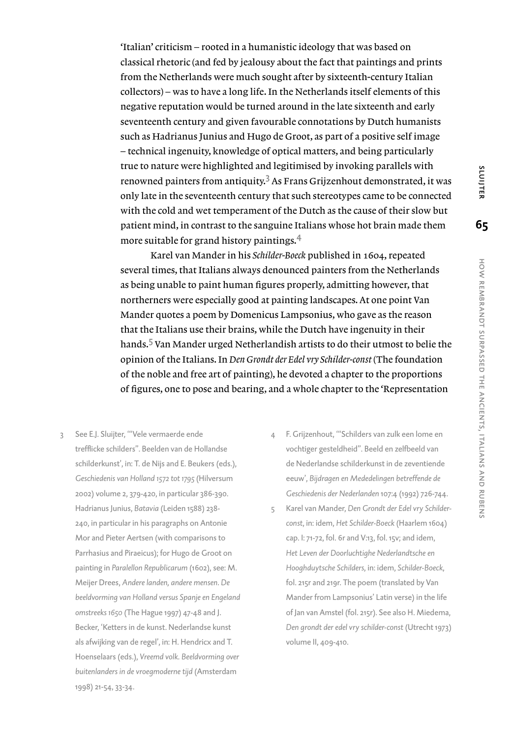'Italian' criticism – rooted in a humanistic ideology that was based on classical rhetoric (and fed by jealousy about the fact that paintings and prints from the Netherlands were much sought after by sixteenth-century Italian collectors) – was to have a long life. In the Netherlands itself elements of this negative reputation would be turned around in the late sixteenth and early seventeenth century and given favourable connotations by Dutch humanists such as Hadrianus Junius and Hugo de Groot, as part of a positive self image – technical ingenuity, knowledge of optical matters, and being particularly true to nature were highlighted and legitimised by invoking parallels with renowned painters from antiquity. $^3$  As Frans Grijzenhout demonstrated, it was only late in the seventeenth century that such stereotypes came to be connected with the cold and wet temperament of the Dutch as the cause of their slow but patient mind, in contrast to the sanguine Italians whose hot brain made them more suitable for grand history paintings.<sup>4</sup>

Karel van Mander in his *Schilder-Boeck* published in 1604, repeated several times, that Italians always denounced painters from the Netherlands as being unable to paint human figures properly, admitting however, that northerners were especially good at painting landscapes. At one point Van Mander quotes a poem by Domenicus Lampsonius, who gave as the reason that the Italians use their brains, while the Dutch have ingenuity in their hands.<sup>5</sup> Van Mander urged Netherlandish artists to do their utmost to belie the opinion of the Italians. In *Den Grondt der Edel vry Schilder-const* (The foundation of the noble and free art of painting), he devoted a chapter to the proportions of figures, one to pose and bearing, and a whole chapter to the 'Representation

- 3 See E.J. Sluijter, '"Vele vermaerde ende trefflicke schilders". Beelden van de Hollandse schilderkunst', in: T. de Nijs and E. Beukers (eds.), *Geschiedenis van Holland 1572 tot 1795* (Hilversum 2002) volume 2, 379-420, in particular 386-390. Hadrianus Junius, *Batavia* (Leiden 1588) 238- 240, in particular in his paragraphs on Antonie Mor and Pieter Aertsen (with comparisons to Parrhasius and Piraeicus); for Hugo de Groot on painting in *Paralellon Republicarum* (1602), see: M. Meijer Drees, *Andere landen, andere mensen. De beeldvorming van Holland versus Spanje en Engeland omstreeks 1650* (The Hague 1997) 47-48 and J. Becker, 'Ketters in de kunst. Nederlandse kunst als afwijking van de regel', in: H. Hendricx and T. Hoenselaars (eds.), *Vreemd volk. Beeldvorming over buitenlanders in de vroegmoderne tijd* (Amsterdam 1998) 21-54, 33-34.
- 4 F. Grijzenhout, '"Schilders van zulk een lome en vochtiger gesteldheid". Beeld en zelfbeeld van de Nederlandse schilderkunst in de zeventiende eeuw', *Bijdragen en Mededelingen betreffende de Geschiedenis der Nederlanden* 107:4 (1992) 726-744.
- 5 Karel van Mander, *Den Grondt der Edel vry Schilderconst*, in: idem, *Het Schilder-Boeck* (Haarlem 1604) cap. I: 71-72, fol. 6r and V:13, fol. 15v; and idem, *Het Leven der Doorluchtighe Nederlandtsche en Hooghduytsche Schilders*, in: idem, *Schilder-Boeck*, fol. 215r and 219r. The poem (translated by Van Mander from Lampsonius' Latin verse) in the life of Jan van Amstel (fol. 215r). See also H. Miedema, *Den grondt der edel vry schilder-const* (Utrecht 1973) volume II, 409-410.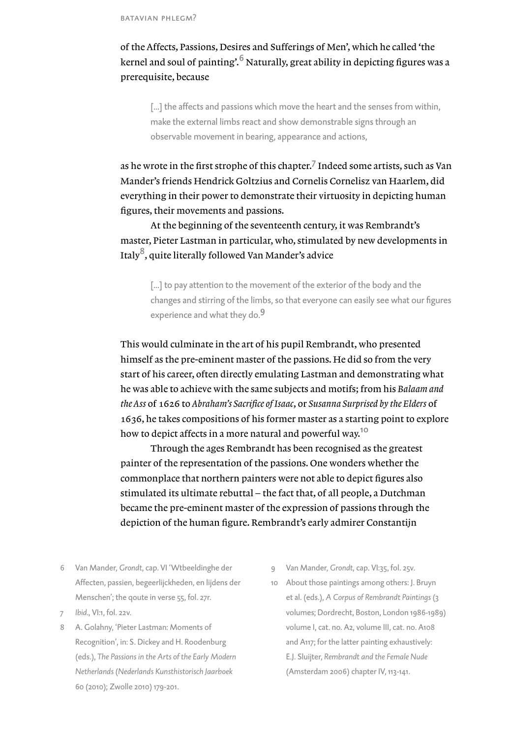of the Affects, Passions, Desires and Sufferings of Men', which he called 'the kernel and soul of painting'.<sup>6</sup> Naturally, great ability in depicting figures was a prerequisite, because

[...] the affects and passions which move the heart and the senses from within, make the external limbs react and show demonstrable signs through an observable movement in bearing, appearance and actions,

as he wrote in the first strophe of this chapter. $^7$  Indeed some artists, such as Van Mander's friends Hendrick Goltzius and Cornelis Cornelisz van Haarlem, did everything in their power to demonstrate their virtuosity in depicting human figures, their movements and passions.

At the beginning of the seventeenth century, it was Rembrandt's master, Pieter Lastman in particular, who, stimulated by new developments in Italy<sup>8</sup>, quite literally followed Van Mander's advice

[...] to pay attention to the movement of the exterior of the body and the changes and stirring of the limbs, so that everyone can easily see what our figures experience and what they do.<sup>9</sup>

This would culminate in the art of his pupil Rembrandt, who presented himself as the pre-eminent master of the passions. He did so from the very start of his career, often directly emulating Lastman and demonstrating what he was able to achieve with the same subjects and motifs; from his *Balaam and the Ass* of 1626 to *Abraham's Sacrifice of Isaac*, or *Susanna Surprised by the Elders* of 1636, he takes compositions of his former master as a starting point to explore how to depict affects in a more natural and powerful way.<sup>10</sup>

Through the ages Rembrandt has been recognised as the greatest painter of the representation of the passions. One wonders whether the commonplace that northern painters were not able to depict figures also stimulated its ultimate rebuttal – the fact that, of all people, a Dutchman became the pre-eminent master of the expression of passions through the depiction of the human figure. Rembrandt's early admirer Constantijn

- 6 Van Mander, *Grondt*, cap. VI 'Wtbeeldinghe der Affecten, passien, begeerlijckheden, en lijdens der Menschen'; the qoute in verse 55, fol. 27r.
- 7 *Ibid*., VI:1, fol. 22v.
- 8 A. Golahny, 'Pieter Lastman: Moments of Recognition', in: S. Dickey and H. Roodenburg (eds.), *The Passions in the Arts of the Early Modern Netherlands* (*Nederlands Kunsthistorisch Jaarboek*  60 (2010); Zwolle 2010) 179-201.
- 9 Van Mander, *Grondt*, cap. VI:35, fol. 25v.
- 10 About those paintings among others: J. Bruyn et al. (eds.), *A Corpus of Rembrandt Paintings* (3 volumes; Dordrecht, Boston, London 1986-1989) volume I, cat. no. A2, volume III, cat. no. A108 and A117; for the latter painting exhaustively: E.J. Sluijter, *Rembrandt and the Female Nude* (Amsterdam 2006) chapter IV, 113-141.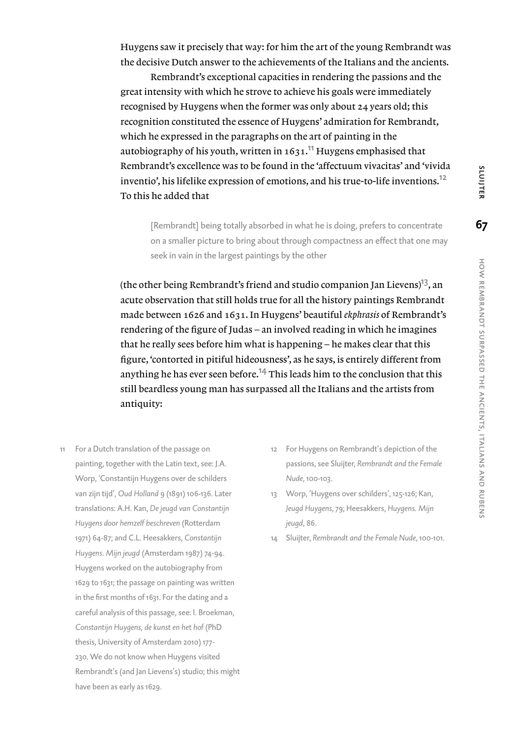Huygens saw it precisely that way: for him the art of the young Rembrandt was the decisive Dutch answer to the achievements of the Italians and the ancients.

Rembrandt's exceptional capacities in rendering the passions and the great intensity with which he strove to achieve his goals were immediately recognised by Huygens when the former was only about 24 years old; this recognition constituted the essence of Huygens' admiration for Rembrandt, which he expressed in the paragraphs on the art of painting in the autobiography of his youth, written in  $1631$ .<sup>11</sup> Huygens emphasised that Rembrandt's excellence was to be found in the 'affectuum vivacitas' and 'vivida inventio', his lifelike expression of emotions, and his true-to-life inventions.<sup>12</sup> To this he added that

[Rembrandt] being totally absorbed in what he is doing, prefers to concentrate on a smaller picture to bring about through compactness an effect that one may seek in vain in the largest paintings by the other

(the other being Rembrandt's friend and studio companion Jan Lievens)<sup>13</sup>, an acute observation that still holds true for all the history paintings Rembrandt made between 1626 and 1631. In Huygens' beautiful *ekphrasis* of Rembrandt's rendering of the figure of Judas – an involved reading in which he imagines that he really sees before him what is happening – he makes clear that this figure, 'contorted in pitiful hideousness', as he says, is entirely different from anything he has ever seen before.<sup>14</sup> This leads him to the conclusion that this still beardless young man has surpassed all the Italians and the artists from antiquity:

- 11 For a Dutch translation of the passage on painting, together with the Latin text, see: J.A. Worp, 'Constantijn Huygens over de schilders van zijn tijd', *Oud Holland* 9 (1891) 106-136. Later translations: A.H. Kan, *De jeugd van Constantijn Huygens door hemzelf beschreven* (Rotterdam 1971) 64-87; and C.L. Heesakkers, *Constantijn Huygens. Mijn jeugd* (Amsterdam 1987) 74-94. Huygens worked on the autobiography from 1629 to 1631; the passage on painting was written in the first months of 1631. For the dating and a careful analysis of this passage, see: I. Broekman, *Constantijn Huygens, de kunst en het hof* (PhD thesis, University of Amsterdam 2010) 177- 230. We do not know when Huygens visited Rembrandt's (and Jan Lievens's) studio; this might have been as early as 1629.
- 12 For Huygens on Rembrandt's depiction of the passions, see Sluijter, *Rembrandt and the Female Nude*, 100-103.
- 13 Worp, 'Huygens over schilders', 125-126; Kan, *Jeugd Huygens*, 79; Heesakkers, *Huygens. Mijn jeugd*, 86.
- 14 Sluijter, *Rembrandt and the Female Nude*, 100-101.

SLUIJTER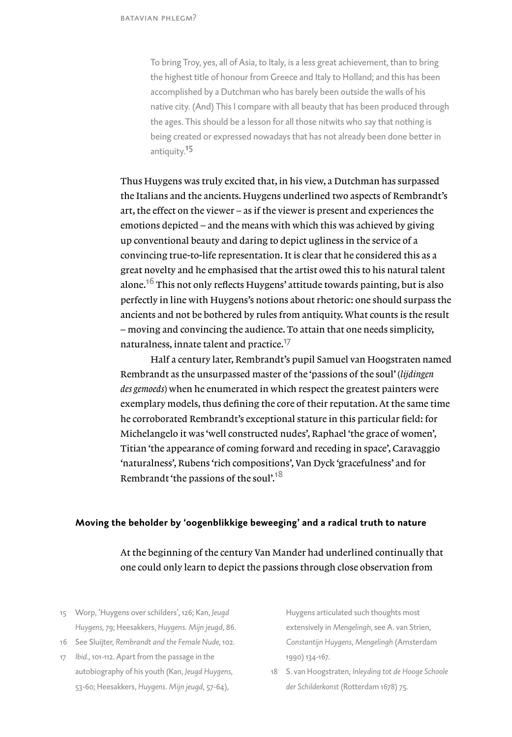To bring Troy, yes, all of Asia, to Italy, is a less great achievement, than to bring the highest title of honour from Greece and Italy to Holland; and this has been accomplished by a Dutchman who has barely been outside the walls of his native city. (And) This I compare with all beauty that has been produced through the ages. This should be a lesson for all those nitwits who say that nothing is being created or expressed nowadays that has not already been done better in antiquity.<sup>15</sup>

Thus Huygens was truly excited that, in his view, a Dutchman has surpassed the Italians and the ancients. Huygens underlined two aspects of Rembrandt's art, the effect on the viewer – as if the viewer is present and experiences the emotions depicted – and the means with which this was achieved by giving up conventional beauty and daring to depict ugliness in the service of a convincing true-to-life representation. It is clear that he considered this as a great novelty and he emphasised that the artist owed this to his natural talent alone.<sup>16</sup> This not only reflects Huygens' attitude towards painting, but is also perfectly in line with Huygens's notions about rhetoric: one should surpass the ancients and not be bothered by rules from antiquity. What counts is the result – moving and convincing the audience. To attain that one needs simplicity, naturalness, innate talent and practice.<sup>17</sup>

Half a century later, Rembrandt's pupil Samuel van Hoogstraten named Rembrandt as the unsurpassed master of the 'passions of the soul' (*lijdingen des gemoeds*) when he enumerated in which respect the greatest painters were exemplary models, thus defining the core of their reputation. At the same time he corroborated Rembrandt's exceptional stature in this particular field: for Michelangelo it was 'well constructed nudes', Raphael 'the grace of women', Titian 'the appearance of coming forward and receding in space', Caravaggio 'naturalness', Rubens 'rich compositions', Van Dyck 'gracefulness' and for Rembrandt 'the passions of the soul'.<sup>18</sup>

## **Moving the beholder by 'oogenblikkige beweeging' and a radical truth to nature**

At the beginning of the century Van Mander had underlined continually that one could only learn to depict the passions through close observation from

- 15 Worp, 'Huygens over schilders', 126; Kan, *Jeugd Huygens*, 79; Heesakkers, *Huygens. Mijn jeugd*, 86.
- 16 See Sluijter, *Rembrandt and the Female Nude*, 102.
- 17 *Ibid*., 101-112. Apart from the passage in the autobiography of his youth (Kan, *Jeugd Huygens*, 53-60; Heesakkers, *Huygens. Mijn jeugd*, 57-64),

Huygens articulated such thoughts most extensively in *Mengelingh*, see A. van Strien, *Constantijn Huygens*, *Mengelingh* (Amsterdam 1990) 134-167.

18 S. van Hoogstraten, *Inleyding tot de Hooge Schoole der Schilderkonst* (Rotterdam 1678) 75.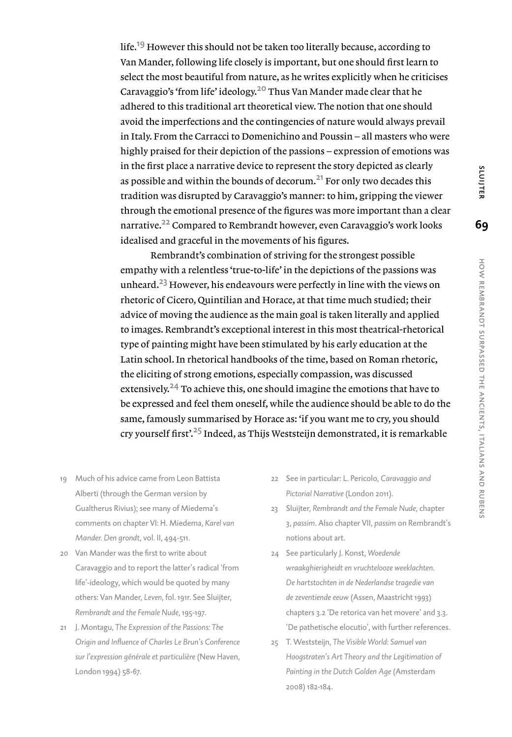life.<sup>19</sup> However this should not be taken too literally because, according to Van Mander, following life closely is important, but one should first learn to select the most beautiful from nature, as he writes explicitly when he criticises Caravaggio's 'from life' ideology.20 Thus Van Mander made clear that he adhered to this traditional art theoretical view. The notion that one should avoid the imperfections and the contingencies of nature would always prevail in Italy. From the Carracci to Domenichino and Poussin – all masters who were highly praised for their depiction of the passions – expression of emotions was in the first place a narrative device to represent the story depicted as clearly as possible and within the bounds of decorum. $^{21}$  For only two decades this tradition was disrupted by Caravaggio's manner: to him, gripping the viewer through the emotional presence of the figures was more important than a clear narrative.<sup>22</sup> Compared to Rembrandt however, even Caravaggio's work looks idealised and graceful in the movements of his figures.

Rembrandt's combination of striving for the strongest possible empathy with a relentless 'true-to-life' in the depictions of the passions was unheard.<sup>23</sup> However, his endeavours were perfectly in line with the views on rhetoric of Cicero, Quintilian and Horace, at that time much studied; their advice of moving the audience as the main goal is taken literally and applied to images. Rembrandt's exceptional interest in this most theatrical-rhetorical type of painting might have been stimulated by his early education at the Latin school. In rhetorical handbooks of the time, based on Roman rhetoric, the eliciting of strong emotions, especially compassion, was discussed extensively.<sup>24</sup> To achieve this, one should imagine the emotions that have to be expressed and feel them oneself, while the audience should be able to do the same, famously summarised by Horace as: 'if you want me to cry, you should cry yourself first'.25 Indeed, as Thijs Weststeijn demonstrated, it is remarkable

- 19 Much of his advice came from Leon Battista Alberti (through the German version by Gualtherus Rivius); see many of Miedema's comments on chapter VI: H. Miedema, *Karel van Mander. Den grondt,* vol. II, 494-511.
- 20 Van Mander was the first to write about Caravaggio and to report the latter's radical 'from life'-ideology, which would be quoted by many others: Van Mander, *Leven*, fol. 191r. See Sluijter, *Rembrandt and the Female Nude*, 195-197.
- 21 J. Montagu, *The Expression of the Passions: The Origin and Influence of Charles Le Brun's Conference sur l'expression générale et particulière* (New Haven, London 1994) 58-67.
- 22 See in particular: L. Pericolo, *Caravaggio and Pictorial Narrative* (London 2011).
- 23 Sluijter, *Rembrandt and the Female Nude*, chapter 3, *passim*. Also chapter VII, *passim* on Rembrandt's notions about art.
- 24 See particularly J. Konst, *Woedende wraakghierigheidt en vruchtelooze weeklachten. De hartstochten in de Nederlandse tragedie van de zeventiende eeuw* (Assen, Maastricht 1993) chapters 3.2 'De retorica van het movere' and 3.3. 'De pathetische elocutio', with further references.
- 25 T. Weststeijn, *The Visible World: Samuel van Hoogstraten's Art Theory and the Legitimation of Painting in the Dutch Golden Age* (Amsterdam 2008) 182-184.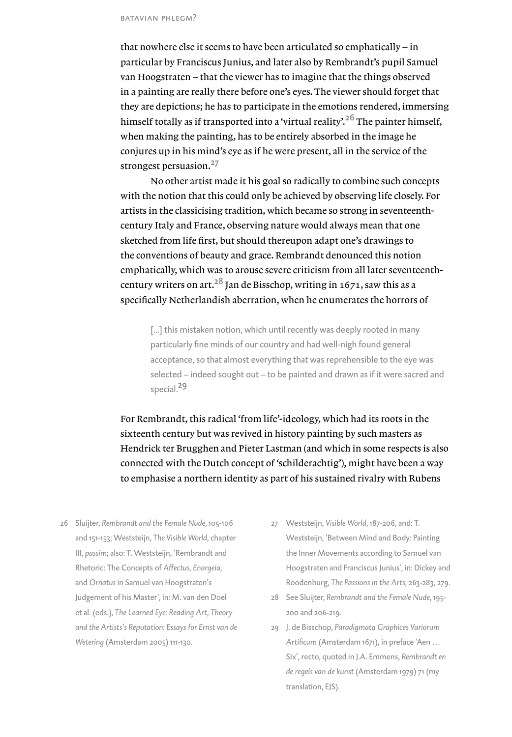that nowhere else it seems to have been articulated so emphatically – in particular by Franciscus Junius, and later also by Rembrandt's pupil Samuel van Hoogstraten – that the viewer has to imagine that the things observed in a painting are really there before one's eyes. The viewer should forget that they are depictions; he has to participate in the emotions rendered, immersing himself totally as if transported into a 'virtual reality'.<sup>26</sup> The painter himself, when making the painting, has to be entirely absorbed in the image he conjures up in his mind's eye as if he were present, all in the service of the strongest persuasion.<sup>27</sup>

No other artist made it his goal so radically to combine such concepts with the notion that this could only be achieved by observing life closely. For artists in the classicising tradition, which became so strong in seventeenthcentury Italy and France, observing nature would always mean that one sketched from life first, but should thereupon adapt one's drawings to the conventions of beauty and grace. Rembrandt denounced this notion emphatically, which was to arouse severe criticism from all later seventeenthcentury writers on art.<sup>28</sup> Jan de Bisschop, writing in 1671, saw this as a specifically Netherlandish aberration, when he enumerates the horrors of

[...] this mistaken notion, which until recently was deeply rooted in many particularly fine minds of our country and had well-nigh found general acceptance, so that almost everything that was reprehensible to the eye was selected – indeed sought out – to be painted and drawn as if it were sacred and special.<sup>29</sup>

For Rembrandt, this radical 'from life'-ideology, which had its roots in the sixteenth century but was revived in history painting by such masters as Hendrick ter Brugghen and Pieter Lastman (and which in some respects is also connected with the Dutch concept of 'schilderachtig'), might have been a way to emphasise a northern identity as part of his sustained rivalry with Rubens

- 26 Sluijter, *Rembrandt and the Female Nude*, 105-106 and 151-153; Weststeijn, *The Visible World*, chapter III, *passim*; also: T. Weststeijn, 'Rembrandt and Rhetoric: The Concepts of *Affectus*, *Enargeia*, and *Ornatus* in Samuel van Hoogstraten's Judgement of his Master', in: M. van den Doel et al. (eds.), *The Learned Eye: Reading Art, Theory and the Artists's Reputation: Essays for Ernst van de Wetering* (Amsterdam 2005) 111-130.
- 27 Weststeijn, *Visible World*, 187-206, and: T. Weststeijn, 'Between Mind and Body: Painting the Inner Movements according to Samuel van Hoogstraten and Franciscus Junius', in: Dickey and Roodenburg, *The Passions in the Arts*, 263-283, 279.
- 28 See Sluijter, *Rembrandt and the Female Nude*, 195- 200 and 206-219.
- 29 J. de Bisschop, *Paradigmata Graphices Variorum Artificum* (Amsterdam 1671), in preface 'Aen … Six', recto, quoted in J.A. Emmens, *Rembrandt en de regels van de kunst* (Amsterdam 1979) 71 (my translation, EJS).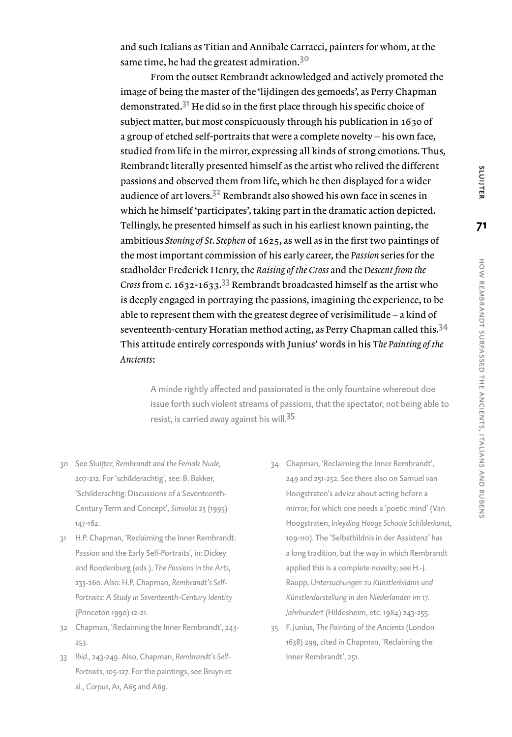and such Italians as Titian and Annibale Carracci, painters for whom, at the same time, he had the greatest admiration.<sup>30</sup>

From the outset Rembrandt acknowledged and actively promoted the image of being the master of the 'lijdingen des gemoeds', as Perry Chapman demonstrated.<sup>31</sup> He did so in the first place through his specific choice of subject matter, but most conspicuously through his publication in 1630 of a group of etched self-portraits that were a complete novelty – his own face, studied from life in the mirror, expressing all kinds of strong emotions. Thus, Rembrandt literally presented himself as the artist who relived the different passions and observed them from life, which he then displayed for a wider audience of art lovers.32 Rembrandt also showed his own face in scenes in which he himself 'participates', taking part in the dramatic action depicted. Tellingly, he presented himself as such in his earliest known painting, the ambitious *Stoning of St. Stephen* of 1625, as well as in the first two paintings of the most important commission of his early career, the *Passion* series for the stadholder Frederick Henry, the *Raising of the Cross* and the *Descent from the Cross* from c. 1632-1633.33 Rembrandt broadcasted himself as the artist who is deeply engaged in portraying the passions, imagining the experience, to be able to represent them with the greatest degree of verisimilitude – a kind of seventeenth-century Horatian method acting, as Perry Chapman called this.<sup>34</sup> This attitude entirely corresponds with Junius' words in his *The Painting of the Ancients*:

A minde rightly affected and passionated is the only fountaine whereout doe issue forth such violent streams of passions, that the spectator, not being able to resist, is carried away against his will.<sup>35</sup>

- 30 See Sluijter, *Rembrandt and the Female Nude*, 207-212. For 'schilderachtig', see: B. Bakker, 'Schilderachtig: Discussions of a Seventeenth-Century Term and Concept', *Simiolus* 23 (1995) 147-162.
- 31 H.P. Chapman, 'Reclaiming the Inner Rembrandt: Passion and the Early Self-Portraits', in: Dickey and Roodenburg (eds.), *The Passions in the Arts*, 233-260. Also: H.P. Chapman, *Rembrandt's Self-Portraits: A Study in Seventeenth-Century Identity* (Princeton 1990) 12-21.
- 32 Chapman, 'Reclaiming the Inner Rembrandt', 243- 253.
- 33 *Ibid*., 243-249. Also, Chapman, *Rembrandt's Self-Portraits*, 105-127. For the paintings, see Bruyn et al., *Corpus*, A1, A65 and A69.
- 34 Chapman, 'Reclaiming the Inner Rembrandt', 249 and 251-252. See there also on Samuel van Hoogstraten's advice about acting before a mirror, for which one needs a 'poetic mind' (Van Hoogstraten, *Inleyding Hooge Schoole Schilderkonst*, 109-110). The 'Selbstbildnis in der Assistenz' has a long tradition, but the way in which Rembrandt applied this is a complete novelty; see H.-J. Raupp, *Untersuchungen zu Künstlerbildnis und Künstlerdarstellung in den Niederlanden im 17. Jahrhundert* (Hildesheim, etc. 1984) 243-255.
- 35 F. Junius, *The Painting of the Ancients* (London 1638) 299, cited in Chapman, 'Reclaiming the Inner Rembrandt', 251.

SLUIJTER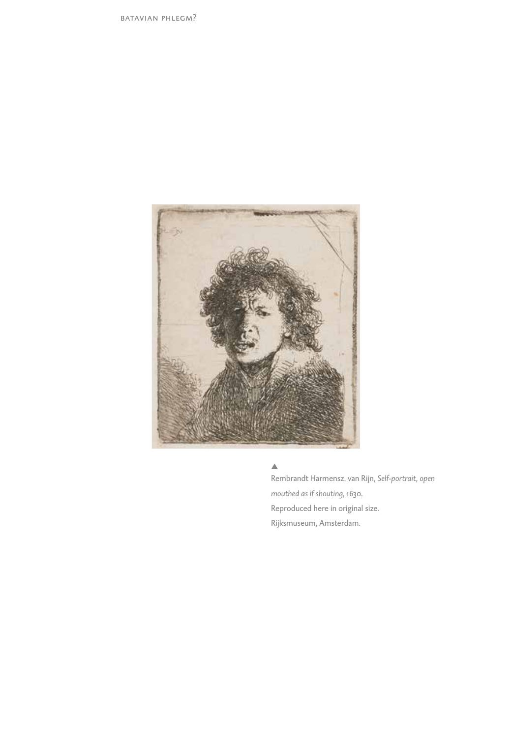

#### $\blacktriangle$

Rembrandt Harmensz. van Rijn, *Self-portrait, open mouthed as if shouting*, 1630. Reproduced here in original size. Rijksmuseum, Amsterdam.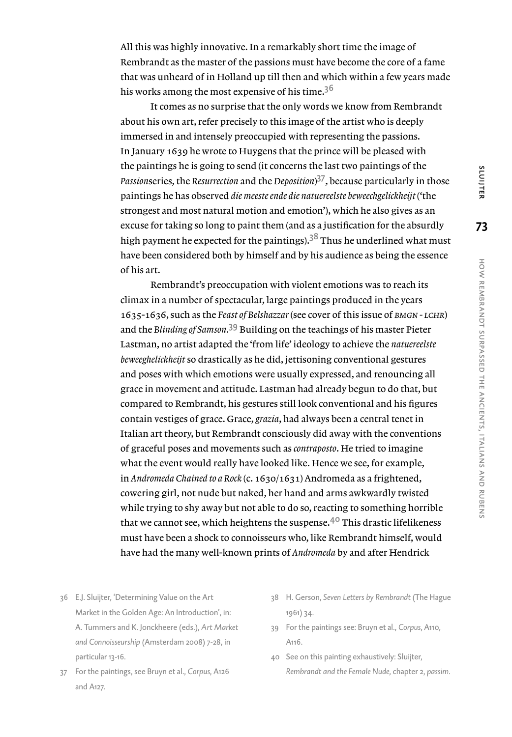**73**

how

rembrandt

surpassed

the

ancients,

italians

and

All this was highly innovative. In a remarkably short time the image of Rembrandt as the master of the passions must have become the core of a fame that was unheard of in Holland up till then and which within a few years made his works among the most expensive of his time. $3<sup>6</sup>$ 

It comes as no surprise that the only words we know from Rembrandt about his own art, refer precisely to this image of the artist who is deeply immersed in and intensely preoccupied with representing the passions. In January 1639 he wrote to Huygens that the prince will be pleased with the paintings he is going to send (it concerns the last two paintings of the *Passion*series, the *Resurrection* and the *Deposition*) <sup>37</sup>, because particularly in those paintings he has observed *die meeste ende die natuereelste beweechgelickheijt* ('the strongest and most natural motion and emotion'), which he also gives as an excuse for taking so long to paint them (and as a justification for the absurdly high payment he expected for the paintings).<sup>38</sup> Thus he underlined what must have been considered both by himself and by his audience as being the essence of his art.

Rembrandt's preoccupation with violent emotions was to reach its climax in a number of spectacular, large paintings produced in the years 1635-1636, such as the *Feast of Belshazzar* (see cover of this issue of *bmgn - lchr*) and the *Blinding of Samson.*39 Building on the teachings of his master Pieter Lastman, no artist adapted the 'from life' ideology to achieve the *natuereelste beweeghelickheijt* so drastically as he did, jettisoning conventional gestures and poses with which emotions were usually expressed, and renouncing all grace in movement and attitude. Lastman had already begun to do that, but compared to Rembrandt, his gestures still look conventional and his figures contain vestiges of grace. Grace, *grazia*, had always been a central tenet in Italian art theory, but Rembrandt consciously did away with the conventions of graceful poses and movements such as *contraposto*. He tried to imagine what the event would really have looked like. Hence we see, for example, in *Andromeda Chained to a Rock* (c. 1630/1631) Andromeda as a frightened, cowering girl, not nude but naked, her hand and arms awkwardly twisted while trying to shy away but not able to do so, reacting to something horrible that we cannot see, which heightens the suspense. $4^{\circ}$  This drastic lifelikeness must have been a shock to connoisseurs who, like Rembrandt himself, would have had the many well-known prints of *Andromeda* by and after Hendrick

- 36 E.J. Sluijter, 'Determining Value on the Art Market in the Golden Age: An Introduction', in: A. Tummers and K. Jonckheere (eds.), *Art Market and Connoisseurship* (Amsterdam 2008) 7-28, in particular 13-16.
- 37 For the paintings, see Bruyn et al., *Corpus*, A126 and A127.
- 38 H. Gerson, *Seven Letters by Rembrandt* (The Hague 1961) 34.
- 39 For the paintings see: Bruyn et al., *Corpus*, A110, A116.
- 40 See on this painting exhaustively: Sluijter, *Rembrandt and the Female Nude*, chapter 2, *passim*.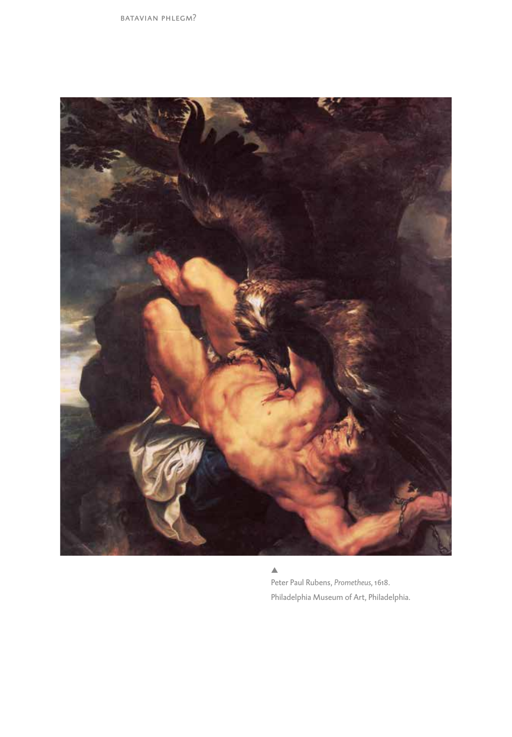batavian phlegm?



Peter Paul Rubens, *Prometheus*, 1618. Philadelphia Museum of Art, Philadelphia.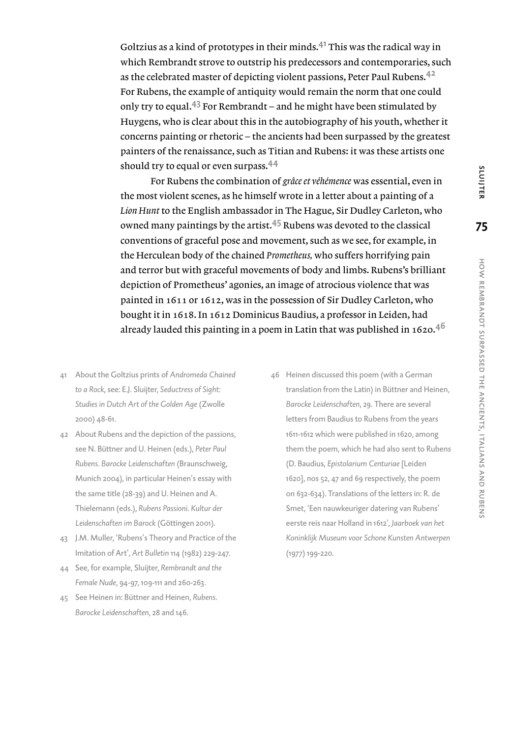Goltzius as a kind of prototypes in their minds. $4<sup>1</sup>$  This was the radical way in which Rembrandt strove to outstrip his predecessors and contemporaries, such as the celebrated master of depicting violent passions, Peter Paul Rubens.<sup>42</sup> For Rubens, the example of antiquity would remain the norm that one could only try to equal.<sup>43</sup> For Rembrandt – and he might have been stimulated by Huygens, who is clear about this in the autobiography of his youth, whether it concerns painting or rhetoric – the ancients had been surpassed by the greatest painters of the renaissance, such as Titian and Rubens: it was these artists one should try to equal or even surpass.<sup>44</sup>

For Rubens the combination of *grâce et véhémence* was essential, even in the most violent scenes, as he himself wrote in a letter about a painting of a *Lion Hunt* to the English ambassador in The Hague, Sir Dudley Carleton, who owned many paintings by the artist.45 Rubens was devoted to the classical conventions of graceful pose and movement, such as we see, for example, in the Herculean body of the chained *Prometheus,* who suffers horrifying pain and terror but with graceful movements of body and limbs. Rubens's brilliant depiction of Prometheus' agonies, an image of atrocious violence that was painted in 1611 or 1612, was in the possession of Sir Dudley Carleton, who bought it in 1618. In 1612 Dominicus Baudius, a professor in Leiden, had already lauded this painting in a poem in Latin that was published in 1620. $4^6$ 

- 41 About the Goltzius prints of *Andromeda Chained to a Rock*, see: E.J. Sluijter, *Seductress of Sight: Studies in Dutch Art of the Golden Age* (Zwolle 2000) 48-61.
- 42 About Rubens and the depiction of the passions, see N. Büttner and U. Heinen (eds.), *Peter Paul Rubens. Barocke Leidenschaften* (Braunschweig, Munich 2004), in particular Heinen's essay with the same title (28-39) and U. Heinen and A. Thielemann (eds.), *Rubens Passioni. Kultur der Leidenschaften im Barock* (Göttingen 2001).
- 43 J.M. Muller, 'Rubens's Theory and Practice of the Imitation of Art', *Art Bulletin* 114 (1982) 229-247.
- 44 See, for example, Sluijter, *Rembrandt and the Female Nude*, 94-97, 109-111 and 260-263.
- 45 See Heinen in: Büttner and Heinen, *Rubens. Barocke Leidenschaften*, 28 and 146.
- 46 Heinen discussed this poem (with a German translation from the Latin) in Büttner and Heinen, *Barocke Leidenschaften*, 29. There are several letters from Baudius to Rubens from the years 1611-1612 which were published in 1620, among them the poem, which he had also sent to Rubens (D. Baudius*, Epistolarium Centuriae* [Leiden 1620], nos 52, 47 and 69 respectively, the poem on 632-634). Translations of the letters in: R. de Smet, 'Een nauwkeuriger datering van Rubens' eerste reis naar Holland in 1612', *Jaarboek van het Koninklijk Museum voor Schone Kunsten Antwerpen* (1977) 199-220.

and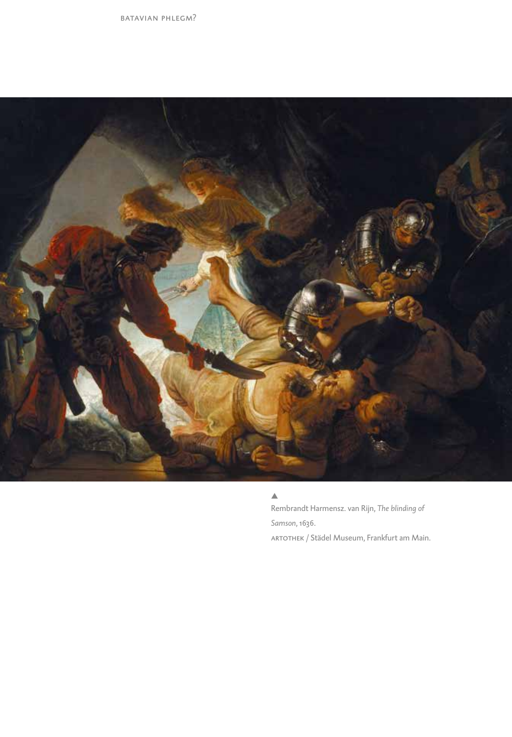batavian phlegm?



#### $\triangle$

Rembrandt Harmensz. van Rijn, *The blinding of Samson*, 1636. ARTOTHEK / Städel Museum, Frankfurt am Main.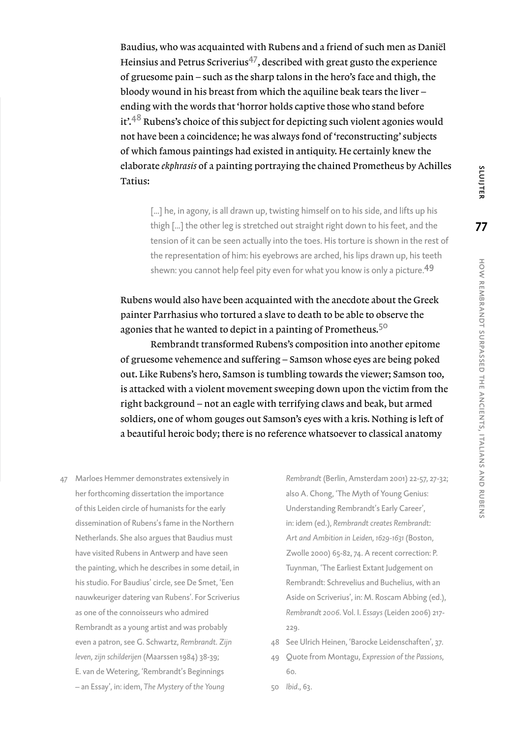Baudius, who was acquainted with Rubens and a friend of such men as Daniël Heinsius and Petrus Scriverius<sup>47</sup>, described with great gusto the experience of gruesome pain – such as the sharp talons in the hero's face and thigh, the bloody wound in his breast from which the aquiline beak tears the liver – ending with the words that 'horror holds captive those who stand before it<sup>'.48</sup> Rubens's choice of this subject for depicting such violent agonies would not have been a coincidence; he was always fond of 'reconstructing' subjects of which famous paintings had existed in antiquity. He certainly knew the elaborate *ekphrasis* of a painting portraying the chained Prometheus by Achilles Tatius:

[...] he, in agony, is all drawn up, twisting himself on to his side, and lifts up his thigh [...] the other leg is stretched out straight right down to his feet, and the tension of it can be seen actually into the toes. His torture is shown in the rest of the representation of him: his eyebrows are arched, his lips drawn up, his teeth shewn: you cannot help feel pity even for what you know is only a picture.<sup>49</sup>

Rubens would also have been acquainted with the anecdote about the Greek painter Parrhasius who tortured a slave to death to be able to observe the agonies that he wanted to depict in a painting of Prometheus.<sup>50</sup>

Rembrandt transformed Rubens's composition into another epitome of gruesome vehemence and suffering – Samson whose eyes are being poked out. Like Rubens's hero, Samson is tumbling towards the viewer; Samson too, is attacked with a violent movement sweeping down upon the victim from the right background – not an eagle with terrifying claws and beak, but armed soldiers, one of whom gouges out Samson's eyes with a kris. Nothing is left of a beautiful heroic body; there is no reference whatsoever to classical anatomy

47 Marloes Hemmer demonstrates extensively in her forthcoming dissertation the importance of this Leiden circle of humanists for the early dissemination of Rubens's fame in the Northern Netherlands. She also argues that Baudius must have visited Rubens in Antwerp and have seen the painting, which he describes in some detail, in his studio. For Baudius' circle, see De Smet, 'Een nauwkeuriger datering van Rubens'. For Scriverius as one of the connoisseurs who admired Rembrandt as a young artist and was probably even a patron, see G. Schwartz, *Rembrandt. Zijn leven, zijn schilderijen* (Maarssen 1984) 38-39; E. van de Wetering, 'Rembrandt's Beginnings – an Essay', in: idem, *The Mystery of the Young* 

*Rembrandt* (Berlin, Amsterdam 2001) 22-57, 27-32; also A. Chong, 'The Myth of Young Genius: Understanding Rembrandt's Early Career', in: idem (ed.), *Rembrandt creates Rembrandt: Art and Ambition in Leiden, 1629-1631* (Boston, Zwolle 2000) 65-82, 74. A recent correction: P. Tuynman, 'The Earliest Extant Judgement on Rembrandt: Schrevelius and Buchelius, with an Aside on Scriverius', in: M. Roscam Abbing (ed.), *Rembrandt 2006*. Vol. I. *Essays* (Leiden 2006) 217- 229.

- 48 See Ulrich Heinen, 'Barocke Leidenschaften', 37.
- 49 Quote from Montagu, *Expression of the Passions*, 60.
- 50 *Ibid*., 63.

SLUIJTER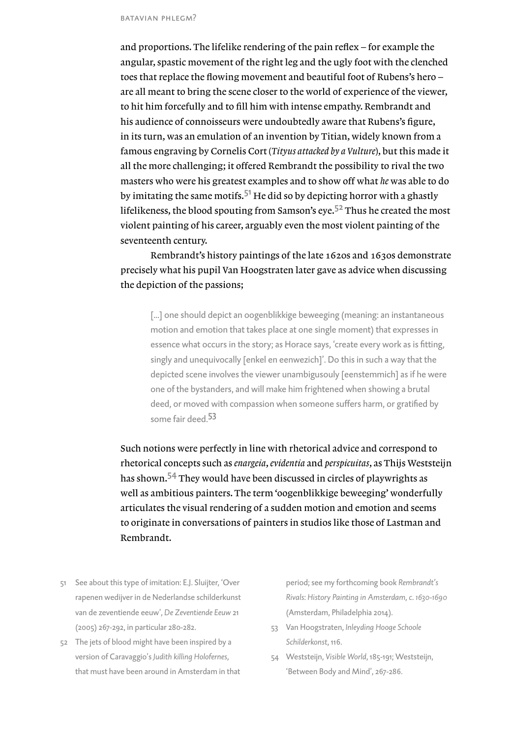and proportions. The lifelike rendering of the pain reflex – for example the angular, spastic movement of the right leg and the ugly foot with the clenched toes that replace the flowing movement and beautiful foot of Rubens's hero – are all meant to bring the scene closer to the world of experience of the viewer, to hit him forcefully and to fill him with intense empathy. Rembrandt and his audience of connoisseurs were undoubtedly aware that Rubens's figure, in its turn, was an emulation of an invention by Titian, widely known from a famous engraving by Cornelis Cort (*Tityus attacked by a Vulture*), but this made it all the more challenging; it offered Rembrandt the possibility to rival the two masters who were his greatest examples and to show off what *he* was able to do by imitating the same motifs.<sup>51</sup> He did so by depicting horror with a ghastly lifelikeness, the blood spouting from Samson's eye.<sup>52</sup> Thus he created the most violent painting of his career, arguably even the most violent painting of the seventeenth century.

Rembrandt's history paintings of the late 1620s and 1630s demonstrate precisely what his pupil Van Hoogstraten later gave as advice when discussing the depiction of the passions;

[...] one should depict an oogenblikkige beweeging (meaning: an instantaneous motion and emotion that takes place at one single moment) that expresses in essence what occurs in the story; as Horace says, 'create every work as is fitting, singly and unequivocally [enkel en eenwezich]'. Do this in such a way that the depicted scene involves the viewer unambigusouly [eenstemmich] as if he were one of the bystanders, and will make him frightened when showing a brutal deed, or moved with compassion when someone suffers harm, or gratified by some fair deed.<sup>53</sup>

Such notions were perfectly in line with rhetorical advice and correspond to rhetorical concepts such as *enargeia*, *evidentia* and *perspicuitas*, as Thijs Weststeijn has shown.<sup>54</sup> They would have been discussed in circles of playwrights as well as ambitious painters. The term 'oogenblikkige beweeging' wonderfully articulates the visual rendering of a sudden motion and emotion and seems to originate in conversations of painters in studios like those of Lastman and Rembrandt.

- 51 See about this type of imitation: E.J. Sluijter, 'Over rapenen wedijver in de Nederlandse schilderkunst van de zeventiende eeuw', *De Zeventiende Eeuw* 21 (2005) 267-292, in particular 280-282.
- 52 The jets of blood might have been inspired by a version of Caravaggio's *Judith killing Holofernes,* that must have been around in Amsterdam in that

period; see my forthcoming book *Rembrandt's Rivals*: *History Painting in Amsterdam, c. 1630-1690* (Amsterdam, Philadelphia 2014).

- 53 Van Hoogstraten, *Inleyding Hooge Schoole Schilderkonst,* 116.
- 54 Weststeijn, *Visible World*, 185-191; Weststeijn, 'Between Body and Mind', 267-286.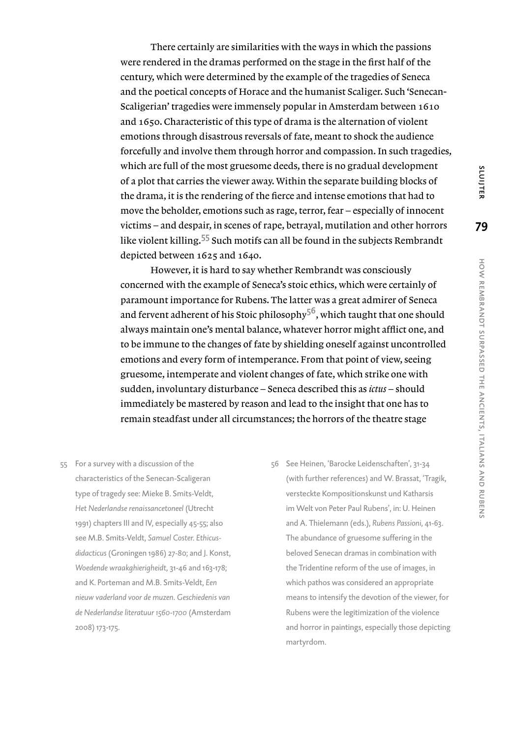There certainly are similarities with the ways in which the passions were rendered in the dramas performed on the stage in the first half of the century, which were determined by the example of the tragedies of Seneca and the poetical concepts of Horace and the humanist Scaliger. Such 'Senecan-Scaligerian' tragedies were immensely popular in Amsterdam between 1610 and 1650. Characteristic of this type of drama is the alternation of violent emotions through disastrous reversals of fate, meant to shock the audience forcefully and involve them through horror and compassion. In such tragedies, which are full of the most gruesome deeds, there is no gradual development of a plot that carries the viewer away. Within the separate building blocks of the drama, it is the rendering of the fierce and intense emotions that had to move the beholder, emotions such as rage, terror, fear – especially of innocent victims – and despair, in scenes of rape, betrayal, mutilation and other horrors like violent killing.<sup>55</sup> Such motifs can all be found in the subjects Rembrandt depicted between 1625 and 1640.

However, it is hard to say whether Rembrandt was consciously concerned with the example of Seneca's stoic ethics, which were certainly of paramount importance for Rubens. The latter was a great admirer of Seneca and fervent adherent of his Stoic philosophy<sup>56</sup>, which taught that one should always maintain one's mental balance, whatever horror might afflict one, and to be immune to the changes of fate by shielding oneself against uncontrolled emotions and every form of intemperance. From that point of view, seeing gruesome, intemperate and violent changes of fate, which strike one with sudden, involuntary disturbance – Seneca described this as *ictus* – should immediately be mastered by reason and lead to the insight that one has to remain steadfast under all circumstances; the horrors of the theatre stage

- 55 For a survey with a discussion of the characteristics of the Senecan-Scaligeran type of tragedy see: Mieke B. Smits-Veldt, *Het Nederlandse renaissancetoneel* (Utrecht 1991) chapters III and IV, especially 45-55; also see M.B. Smits-Veldt, *Samuel Coster. Ethicusdidacticus* (Groningen 1986) 27-80; and J. Konst, *Woedende wraakghierigheidt,* 31-46 and 163-178; and K. Porteman and M.B. Smits-Veldt, *Een nieuw vaderland voor de muzen. Geschiedenis van de Nederlandse literatuur 1560-1700* (Amsterdam 2008) 173-175.
- 56 See Heinen, 'Barocke Leidenschaften', 31-34 (with further references) and W. Brassat, 'Tragik, versteckte Kompositionskunst und Katharsis im Welt von Peter Paul Rubens', in: U. Heinen and A. Thielemann (eds.), *Rubens Passioni,* 41-63. The abundance of gruesome suffering in the beloved Senecan dramas in combination with the Tridentine reform of the use of images, in which pathos was considered an appropriate means to intensify the devotion of the viewer, for Rubens were the legitimization of the violence and horror in paintings, especially those depicting martyrdom.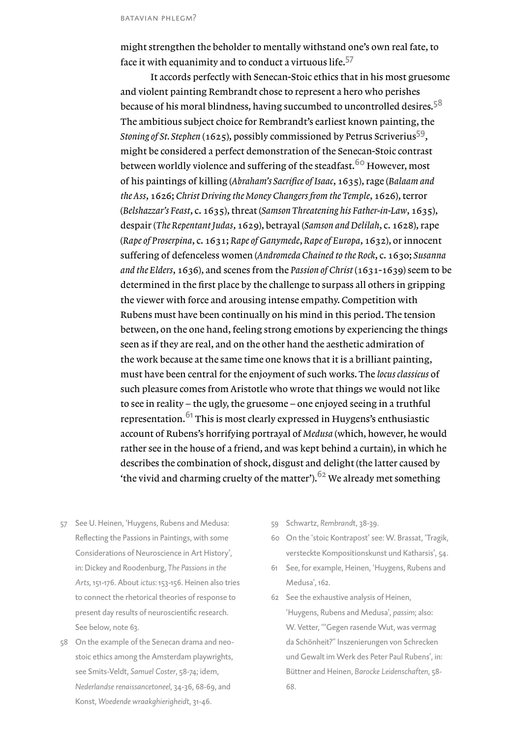might strengthen the beholder to mentally withstand one's own real fate, to face it with equanimity and to conduct a virtuous life.<sup>57</sup>

It accords perfectly with Senecan-Stoic ethics that in his most gruesome and violent painting Rembrandt chose to represent a hero who perishes because of his moral blindness, having succumbed to uncontrolled desires.<sup>58</sup> The ambitious subject choice for Rembrandt's earliest known painting, the *Stoning of St. Stephen* (1625), possibly commissioned by Petrus Scriverius59, might be considered a perfect demonstration of the Senecan-Stoic contrast between worldly violence and suffering of the steadfast.<sup>60</sup> However, most of his paintings of killing (*Abraham's Sacrifice of Isaac*, 1635), rage (*Balaam and the Ass*, 1626; *Christ Driving the Money Changers from the Temple*, 1626), terror (*Belshazzar's Feast*, c. 1635), threat (*Samson Threatening his Father-in-Law*, 1635), despair (*The Repentant Judas*, 1629), betrayal (*Samson and Delilah*, c. 1628), rape (*Rape of Proserpina*, c. 1631; *Rape of Ganymede*, *Rape of Europa*, 1632), or innocent suffering of defenceless women (*Andromeda Chained to the Rock*, c. 1630; *Susanna and the Elders*, 1636), and scenes from the *Passion of Christ* (1631-1639) seem to be determined in the first place by the challenge to surpass all others in gripping the viewer with force and arousing intense empathy. Competition with Rubens must have been continually on his mind in this period. The tension between, on the one hand, feeling strong emotions by experiencing the things seen as if they are real, and on the other hand the aesthetic admiration of the work because at the same time one knows that it is a brilliant painting, must have been central for the enjoyment of such works. The *locus classicus* of such pleasure comes from Aristotle who wrote that things we would not like to see in reality – the ugly, the gruesome – one enjoyed seeing in a truthful representation. $61$  This is most clearly expressed in Huygens's enthusiastic account of Rubens's horrifying portrayal of *Medusa* (which, however, he would rather see in the house of a friend, and was kept behind a curtain), in which he describes the combination of shock, disgust and delight (the latter caused by 'the vivid and charming cruelty of the matter').  $62$  We already met something

- 57 See U. Heinen, 'Huygens, Rubens and Medusa: Reflecting the Passions in Paintings, with some Considerations of Neuroscience in Art History', in: Dickey and Roodenburg, *The Passions in the Arts,* 151-176. About *ictus*: 153-156. Heinen also tries to connect the rhetorical theories of response to present day results of neuroscientific research. See below, note 63.
- 58 On the example of the Senecan drama and neostoic ethics among the Amsterdam playwrights, see Smits-Veldt, *Samuel Coster*, 58-74; idem, *Nederlandse renaissancetoneel,* 34-36, 68-69, and Konst, *Woedende wraakghierigheidt,* 31-46.
- 59 Schwartz, *Rembrand*t, 38-39.
- 60 On the 'stoic Kontrapost' see: W. Brassat, 'Tragik, versteckte Kompositionskunst und Katharsis', 54.
- 61 See, for example, Heinen, 'Huygens, Rubens and Medusa', 162.
- 62 See the exhaustive analysis of Heinen, 'Huygens, Rubens and Medusa', *passim*; also: W. Vetter, '"Gegen rasende Wut, was vermag da Schönheit?" Inszenierungen von Schrecken und Gewalt im Werk des Peter Paul Rubens', in: Büttner and Heinen, *Barocke Leidenschaften*, 58- 68.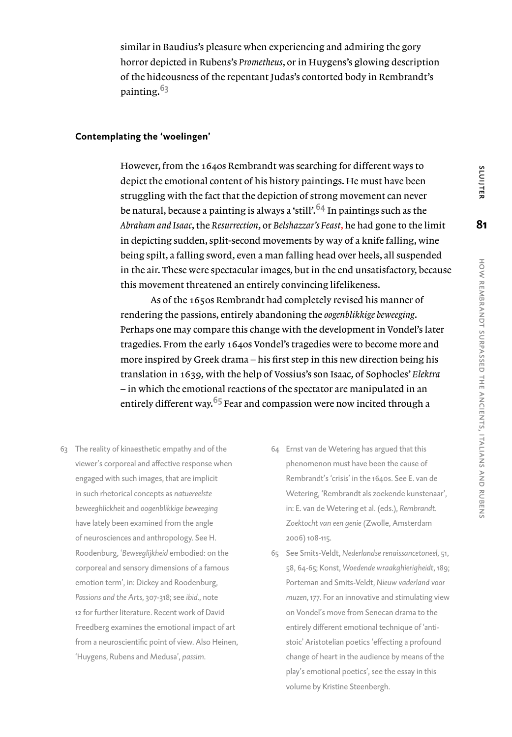similar in Baudius's pleasure when experiencing and admiring the gory horror depicted in Rubens's *Prometheus*, or in Huygens's glowing description of the hideousness of the repentant Judas's contorted body in Rembrandt's painting.<sup>63</sup>

# **Contemplating the 'woelingen'**

However, from the 1640s Rembrandt was searching for different ways to depict the emotional content of his history paintings. He must have been struggling with the fact that the depiction of strong movement can never be natural, because a painting is always a 'still'.<sup>64</sup> In paintings such as the *Abraham and Isaac*, the *Resurrection*, or *Belshazzar's Feast*, he had gone to the limit in depicting sudden, split-second movements by way of a knife falling, wine being spilt, a falling sword, even a man falling head over heels, all suspended in the air. These were spectacular images, but in the end unsatisfactory, because this movement threatened an entirely convincing lifelikeness.

As of the 1650s Rembrandt had completely revised his manner of rendering the passions, entirely abandoning the *oogenblikkige beweeging*. Perhaps one may compare this change with the development in Vondel's later tragedies. From the early 1640s Vondel's tragedies were to become more and more inspired by Greek drama – his first step in this new direction being his translation in 1639, with the help of Vossius's son Isaac, of Sophocles' *Elektra* – in which the emotional reactions of the spectator are manipulated in an entirely different way.<sup>65</sup> Fear and compassion were now incited through a

- 63 The reality of kinaesthetic empathy and of the viewer's corporeal and affective response when engaged with such images, that are implicit in such rhetorical concepts as *natuereelste beweeghlickheit* and *oogenblikkige beweeging*  have lately been examined from the angle of neurosciences and anthropology. See H. Roodenburg, '*Beweeglijkheid* embodied: on the corporeal and sensory dimensions of a famous emotion term', in: Dickey and Roodenburg, *Passions and the Arts*, 307-318; see *ibid*., note 12 for further literature. Recent work of David Freedberg examines the emotional impact of art from a neuroscientific point of view. Also Heinen, 'Huygens, Rubens and Medusa', *passim*.
- 64 Ernst van de Wetering has argued that this phenomenon must have been the cause of Rembrandt's 'crisis' in the 1640s. See E. van de Wetering, 'Rembrandt als zoekende kunstenaar', in: E. van de Wetering et al. (eds.), *Rembrandt. Zoektocht van een genie* (Zwolle, Amsterdam 2006) 108-115.
- 65 See Smits-Veldt, *Nederlandse renaissancetoneel*, 51, 58, 64-65; Konst, *Woedende wraakghierigheidt*, 189; Porteman and Smits-Veldt, *Nieuw vaderland voor muzen,* 177. For an innovative and stimulating view on Vondel's move from Senecan drama to the entirely different emotional technique of 'antistoic' Aristotelian poetics 'effecting a profound change of heart in the audience by means of the play's emotional poetics', see the essay in this volume by Kristine Steenbergh.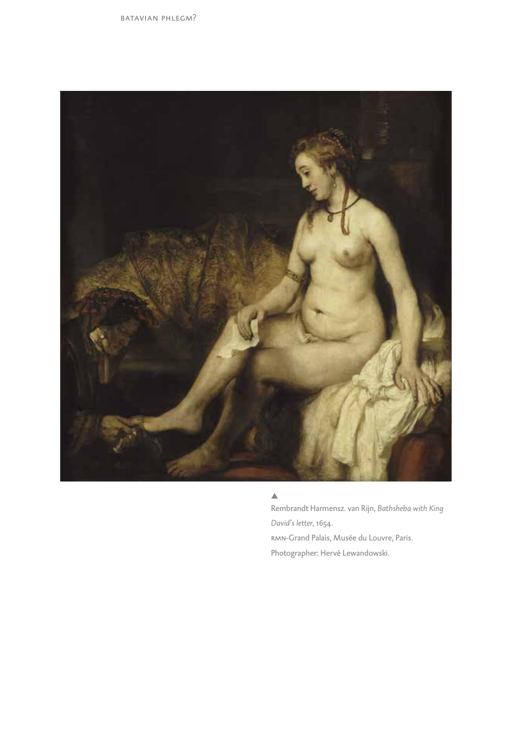

#### $\triangle$

Rembrandt Harmensz. van Rijn, *Bathsheba with King David's letter*, 1654. rmn-Grand Palais, Musée du Louvre, Paris. Photographer: Hervé Lewandowski.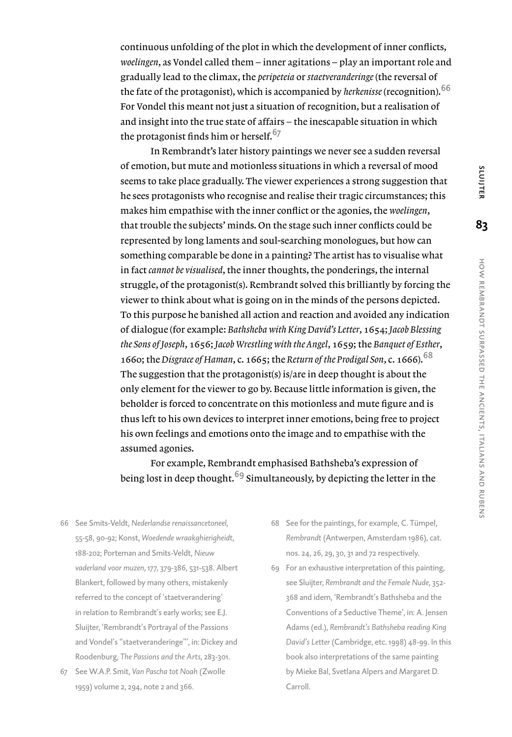continuous unfolding of the plot in which the development of inner conflicts, *woelingen*, as Vondel called them – inner agitations – play an important role and gradually lead to the climax, the *peripeteia* or *staetveranderinge* (the reversal of the fate of the protagonist), which is accompanied by *herkenisse* (recognition).<sup>66</sup> For Vondel this meant not just a situation of recognition, but a realisation of and insight into the true state of affairs – the inescapable situation in which the protagonist finds him or herself.<sup>67</sup>

In Rembrandt's later history paintings we never see a sudden reversal of emotion, but mute and motionless situations in which a reversal of mood seems to take place gradually. The viewer experiences a strong suggestion that he sees protagonists who recognise and realise their tragic circumstances; this makes him empathise with the inner conflict or the agonies, the *woelingen*, that trouble the subjects' minds. On the stage such inner conflicts could be represented by long laments and soul-searching monologues, but how can something comparable be done in a painting? The artist has to visualise what in fact *cannot be visualised*, the inner thoughts, the ponderings, the internal struggle, of the protagonist(s). Rembrandt solved this brilliantly by forcing the viewer to think about what is going on in the minds of the persons depicted. To this purpose he banished all action and reaction and avoided any indication of dialogue (for example: *Bathsheba with King David's Letter*, 1654; *Jacob Blessing the Sons of Joseph*, 1656; *Jacob Wrestling with the Angel*, 1659; the *Banquet of Esther*, 1660; the *Disgrace of Haman*, c. 1665; the *Return of the Prodigal Son*, c. 1666).<sup>68</sup> The suggestion that the protagonist(s) is/are in deep thought is about the only element for the viewer to go by. Because little information is given, the beholder is forced to concentrate on this motionless and mute figure and is thus left to his own devices to interpret inner emotions, being free to project his own feelings and emotions onto the image and to empathise with the assumed agonies.

For example, Rembrandt emphasised Bathsheba's expression of being lost in deep thought.<sup>69</sup> Simultaneously, by depicting the letter in the

66 See Smits-Veldt, *Nederlandse renaissancetoneel,* 55-58, 90-92; Konst, *Woedende wraakghierigheidt,* 188-202; Porteman and Smits-Veldt, *Nieuw vaderland voor muzen,* 177, 379-386, 531-538. Albert Blankert, followed by many others, mistakenly referred to the concept of 'staetverandering' in relation to Rembrandt's early works; see E.J. Sluijter, 'Rembrandt's Portrayal of the Passions and Vondel's "staetveranderinge"', in: Dickey and Roodenburg, *The Passions and the Arts*, 283-301.

- 68 See for the paintings, for example, C. Tümpel, *Rembrandt* (Antwerpen, Amsterdam 1986), cat. nos. 24, 26, 29, 30, 31 and 72 respectively.
- 69 For an exhaustive interpretation of this painting, see Sluijter, *Rembrandt and the Female Nude*, 352- 368 and idem, 'Rembrandt's Bathsheba and the Conventions of a Seductive Theme', in: A. Jensen Adams (ed.), *Rembrandt's Bathsheba reading King David's Letter* (Cambridge, etc. 1998) 48-99. In this book also interpretations of the same painting by Mieke Bal, Svetlana Alpers and Margaret D. Carroll.

<sup>67</sup> See W.A.P. Smit, *Van Pascha tot Noah* (Zwolle 1959) volume 2, 294, note 2 and 366.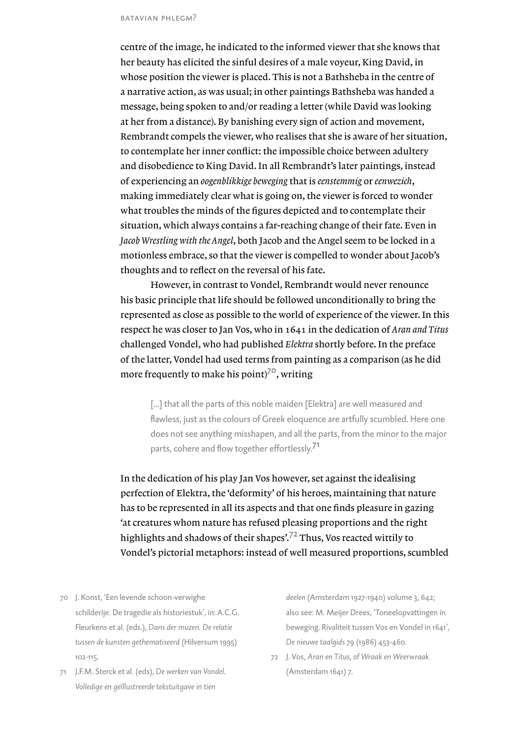centre of the image, he indicated to the informed viewer that she knows that her beauty has elicited the sinful desires of a male voyeur, King David, in whose position the viewer is placed. This is not a Bathsheba in the centre of a narrative action, as was usual; in other paintings Bathsheba was handed a message, being spoken to and/or reading a letter (while David was looking at her from a distance). By banishing every sign of action and movement, Rembrandt compels the viewer, who realises that she is aware of her situation, to contemplate her inner conflict: the impossible choice between adultery and disobedience to King David. In all Rembrandt's later paintings, instead of experiencing an *oogenblikkige beweging* that is *eenstemmig* or *eenwezich*, making immediately clear what is going on, the viewer is forced to wonder what troubles the minds of the figures depicted and to contemplate their situation, which always contains a far-reaching change of their fate. Even in *Jacob Wrestling with the Angel*, both Jacob and the Angel seem to be locked in a motionless embrace, so that the viewer is compelled to wonder about Jacob's thoughts and to reflect on the reversal of his fate.

However, in contrast to Vondel, Rembrandt would never renounce his basic principle that life should be followed unconditionally to bring the represented as close as possible to the world of experience of the viewer. In this respect he was closer to Jan Vos, who in 1641 in the dedication of *Aran and Titus*  challenged Vondel, who had published *Elektra* shortly before. In the preface of the latter, Vondel had used terms from painting as a comparison (as he did more frequently to make his point) $7^\circ$ , writing

[...] that all the parts of this noble maiden [Elektra] are well measured and flawless, just as the colours of Greek eloquence are artfully scumbled. Here one does not see anything misshapen, and all the parts, from the minor to the major parts, cohere and flow together effortlessly.<sup>71</sup>

In the dedication of his play Jan Vos however, set against the idealising perfection of Elektra, the 'deformity' of his heroes, maintaining that nature has to be represented in all its aspects and that one finds pleasure in gazing 'at creatures whom nature has refused pleasing proportions and the right highlights and shadows of their shapes'.<sup>72</sup> Thus, Vos reacted wittily to Vondel's pictorial metaphors: instead of well measured proportions, scumbled

- 70 J. Konst, 'Een levende schoon-verwighe schilderije. De tragedie als historiestuk', in: A.C.G. Fleurkens et al. (eds.), *Dans der muzen. De relatie tussen de kunsten gethematiseerd* (Hilversum 1995) 102-115.
- 71 J.F.M. Sterck et al. (eds), *De werken van Vondel. Volledige en geïllustreerde tekstuitgave in tien*

*deelen* (Amsterdam 1927-1940) volume 3, 642; also see: M. Meijer Drees, 'Toneelopvattingen in beweging. Rivaliteit tussen Vos en Vondel in 1641', *De nieuwe taalgids* 79 (1986) 453-460.

72 J. Vos, *Aran en Titus, of Wraak en Weerwraak* (Amsterdam 1641) 7.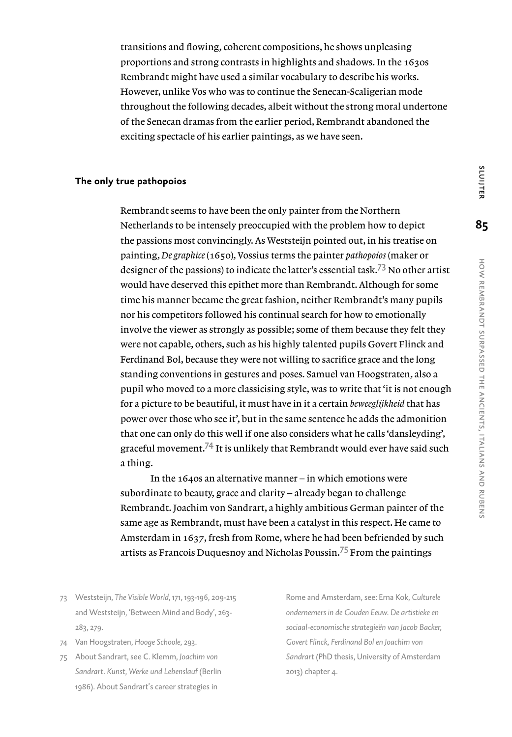transitions and flowing, coherent compositions, he shows unpleasing proportions and strong contrasts in highlights and shadows. In the 1630s Rembrandt might have used a similar vocabulary to describe his works. However, unlike Vos who was to continue the Senecan-Scaligerian mode throughout the following decades, albeit without the strong moral undertone of the Senecan dramas from the earlier period, Rembrandt abandoned the exciting spectacle of his earlier paintings, as we have seen.

#### **The only true pathopoios**

Rembrandt seems to have been the only painter from the Northern Netherlands to be intensely preoccupied with the problem how to depict the passions most convincingly. As Weststeijn pointed out, in his treatise on painting, *De graphice* (1650), Vossius terms the painter *pathopoios* (maker or designer of the passions) to indicate the latter's essential task.73 No other artist would have deserved this epithet more than Rembrandt. Although for some time his manner became the great fashion, neither Rembrandt's many pupils nor his competitors followed his continual search for how to emotionally involve the viewer as strongly as possible; some of them because they felt they were not capable, others, such as his highly talented pupils Govert Flinck and Ferdinand Bol, because they were not willing to sacrifice grace and the long standing conventions in gestures and poses. Samuel van Hoogstraten, also a pupil who moved to a more classicising style, was to write that 'it is not enough for a picture to be beautiful, it must have in it a certain *beweeglijkheid* that has power over those who see it', but in the same sentence he adds the admonition that one can only do this well if one also considers what he calls 'dansleyding', graceful movement.<sup>74</sup> It is unlikely that Rembrandt would ever have said such a thing.

In the 1640s an alternative manner – in which emotions were subordinate to beauty, grace and clarity – already began to challenge Rembrandt. Joachim von Sandrart, a highly ambitious German painter of the same age as Rembrandt, must have been a catalyst in this respect. He came to Amsterdam in 1637, fresh from Rome, where he had been befriended by such artists as Francois Duquesnoy and Nicholas Poussin.<sup>75</sup> From the paintings

- 73 Weststeijn, *The Visible World*, 171, 193-196, 209-215 and Weststeijn, 'Between Mind and Body', 263- 283, 279.
- 74 Van Hoogstraten, *Hooge Schoole*, 293.
- 75 About Sandrart, see C. Klemm, *Joachim von Sandrart. Kunst, Werke und Lebenslauf* (Berlin 1986). About Sandrart's career strategies in

Rome and Amsterdam, see: Erna Kok, *Culturele ondernemers in de Gouden Eeuw. De artistieke en sociaal-economische strategieën van Jacob Backer, Govert Flinck, Ferdinand Bol en Joachim von Sandrart* (PhD thesis, University of Amsterdam 2013) chapter 4.

SLUIJTER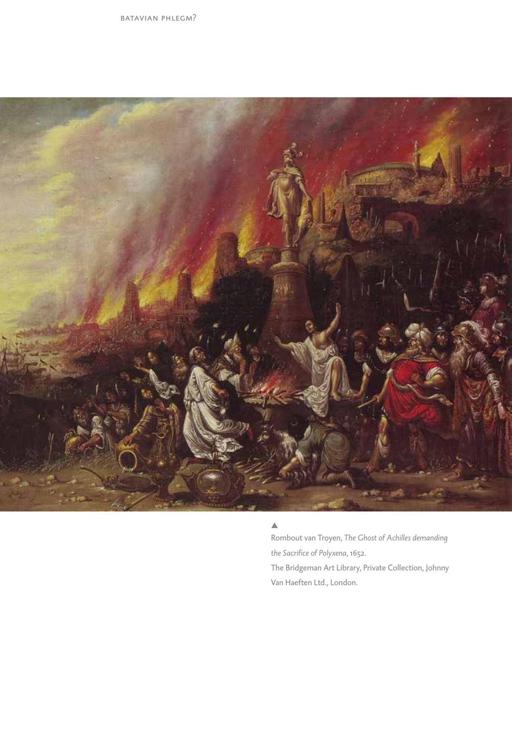

#### $\triangle$

Rombout van Troyen, *The Ghost of Achilles demanding the Sacrifice of Polyxena*, 1652. The Bridgeman Art Library, Private Collection, Johnny Van Haeften Ltd., London.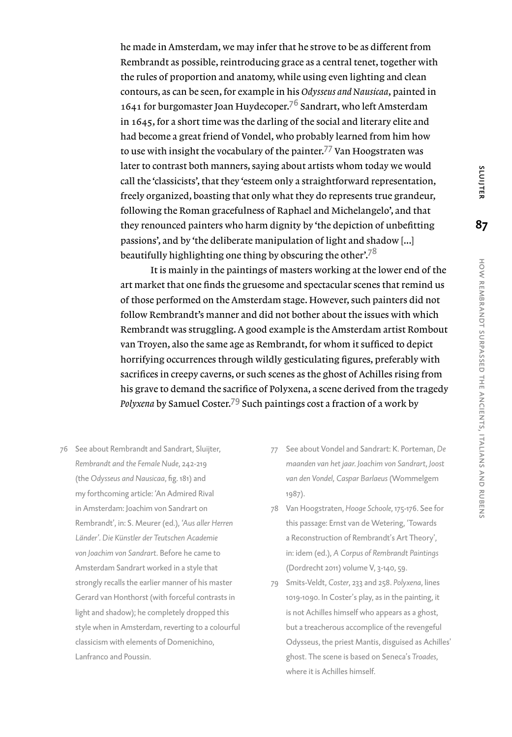he made in Amsterdam, we may infer that he strove to be as different from Rembrandt as possible, reintroducing grace as a central tenet, together with the rules of proportion and anatomy, while using even lighting and clean contours, as can be seen, for example in his *Odysseus and Nausicaa*, painted in 1641 for burgomaster Joan Huydecoper.<sup>76</sup> Sandrart, who left Amsterdam in 1645, for a short time was the darling of the social and literary elite and had become a great friend of Vondel, who probably learned from him how to use with insight the vocabulary of the painter.<sup>77</sup> Van Hoogstraten was later to contrast both manners, saying about artists whom today we would call the 'classicists', that they 'esteem only a straightforward representation, freely organized, boasting that only what they do represents true grandeur, following the Roman gracefulness of Raphael and Michelangelo', and that they renounced painters who harm dignity by 'the depiction of unbefitting passions', and by 'the deliberate manipulation of light and shadow [...] beautifully highlighting one thing by obscuring the other $\cdot$ .<sup>78</sup>

It is mainly in the paintings of masters working at the lower end of the art market that one finds the gruesome and spectacular scenes that remind us of those performed on the Amsterdam stage. However, such painters did not follow Rembrandt's manner and did not bother about the issues with which Rembrandt was struggling. A good example is the Amsterdam artist Rombout van Troyen, also the same age as Rembrandt, for whom it sufficed to depict horrifying occurrences through wildly gesticulating figures, preferably with sacrifices in creepy caverns, or such scenes as the ghost of Achilles rising from his grave to demand the sacrifice of Polyxena, a scene derived from the tragedy *Polyxena* by Samuel Coster.79 Such paintings cost a fraction of a work by

- 76 See about Rembrandt and Sandrart, Sluijter, *Rembrandt and the Female Nude*, 242-219 (the *Odysseus and Nausicaa*, fig. 181) and my forthcoming article: 'An Admired Rival in Amsterdam: Joachim von Sandrart on Rembrandt', in: S. Meurer (ed.), *'Aus aller Herren Länder'. Die Künstler der Teutschen Academie von Joachim von Sandrart.* Before he came to Amsterdam Sandrart worked in a style that strongly recalls the earlier manner of his master Gerard van Honthorst (with forceful contrasts in light and shadow); he completely dropped this style when in Amsterdam, reverting to a colourful classicism with elements of Domenichino, Lanfranco and Poussin.
- 77 See about Vondel and Sandrart: K. Porteman, *De maanden van het jaar. Joachim von Sandrart, Joost van den Vondel, Caspar Barlaeus* (Wommelgem 1987).
- 78 Van Hoogstraten, *Hooge Schoole*, 175-176. See for this passage: Ernst van de Wetering, 'Towards a Reconstruction of Rembrandt's Art Theory', in: idem (ed.), *A Corpus of Rembrandt Paintings* (Dordrecht 2011) volume V, 3-140, 59.
- 79 Smits-Veldt, *Coster*, 233 and 258. *Polyxena*, lines 1019-1090. In Coster's play, as in the painting, it is not Achilles himself who appears as a ghost, but a treacherous accomplice of the revengeful Odysseus, the priest Mantis, disguised as Achilles' ghost. The scene is based on Seneca's *Troades*, where it is Achilles himself.

SLUIJTER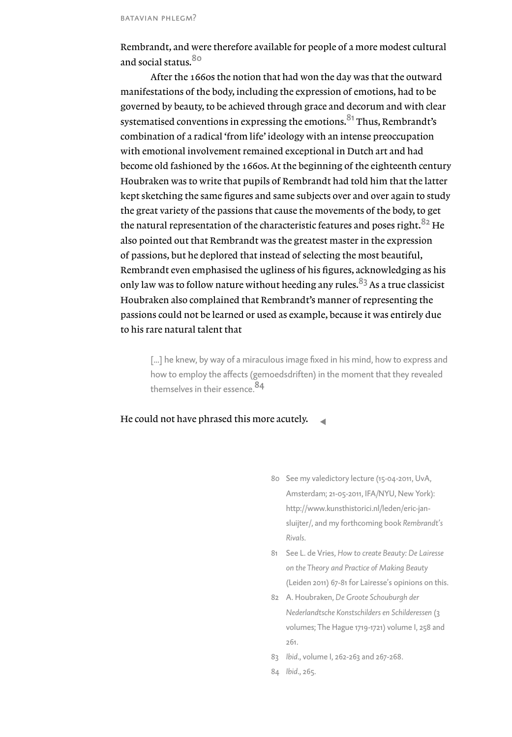Rembrandt, and were therefore available for people of a more modest cultural and social status.<sup>80</sup>

After the 1660s the notion that had won the day was that the outward manifestations of the body, including the expression of emotions, had to be governed by beauty, to be achieved through grace and decorum and with clear systematised conventions in expressing the emotions.<sup>81</sup> Thus, Rembrandt's combination of a radical 'from life' ideology with an intense preoccupation with emotional involvement remained exceptional in Dutch art and had become old fashioned by the 1660s. At the beginning of the eighteenth century Houbraken was to write that pupils of Rembrandt had told him that the latter kept sketching the same figures and same subjects over and over again to study the great variety of the passions that cause the movements of the body, to get the natural representation of the characteristic features and poses right.  $82\,$  He also pointed out that Rembrandt was the greatest master in the expression of passions, but he deplored that instead of selecting the most beautiful, Rembrandt even emphasised the ugliness of his figures, acknowledging as his only law was to follow nature without heeding any rules.<sup>83</sup> As a true classicist Houbraken also complained that Rembrandt's manner of representing the passions could not be learned or used as example, because it was entirely due to his rare natural talent that

[...] he knew, by way of a miraculous image fixed in his mind, how to express and how to employ the affects (gemoedsdriften) in the moment that they revealed themselves in their essence.<sup>84</sup>

He could not have phrased this more acutely.

- 80 See my valedictory lecture (15-04-2011, UvA, Amsterdam; 21-05-2011, IFA/NYU, New York): http://www.kunsthistorici.nl/leden/eric-jansluijter/, and my forthcoming book *Rembrandt's Rivals*.
- 81 See L. de Vries, *How to create Beauty: De Lairesse on the Theory and Practice of Making Beauty* (Leiden 2011) 67-81 for Lairesse's opinions on this.
- 82 A. Houbraken, *De Groote Schouburgh der Nederlandtsche Konstschilders en Schilderessen* (3 volumes; The Hague 1719-1721) volume I, 258 and 261.
- 83 *Ibid*., volume I, 262-263 and 267-268.
- 84 *Ibid*., 265.